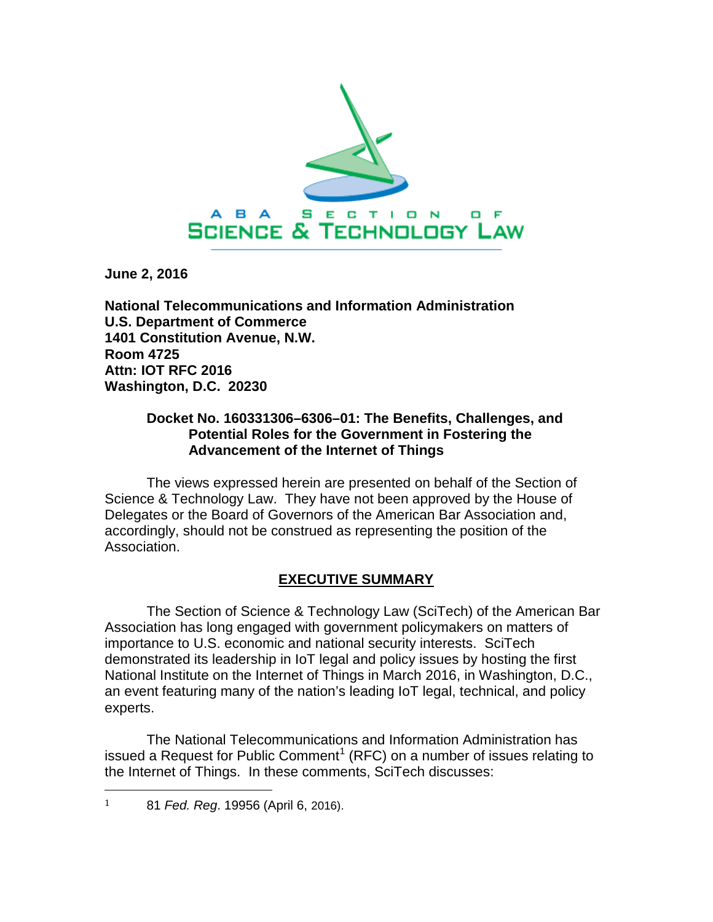

**June 2, 2016**

**National Telecommunications and Information Administration U.S. Department of Commerce 1401 Constitution Avenue, N.W. Room 4725 Attn: IOT RFC 2016 Washington, D.C. 20230**

### **Docket No. 160331306–6306–01: The Benefits, Challenges, and Potential Roles for the Government in Fostering the Advancement of the Internet of Things**

The views expressed herein are presented on behalf of the Section of Science & Technology Law. They have not been approved by the House of Delegates or the Board of Governors of the American Bar Association and, accordingly, should not be construed as representing the position of the Association.

# **EXECUTIVE SUMMARY**

The Section of Science & Technology Law (SciTech) of the American Bar Association has long engaged with government policymakers on matters of importance to U.S. economic and national security interests. SciTech demonstrated its leadership in IoT legal and policy issues by hosting the first National Institute on the Internet of Things in March 2016, in Washington, D.C., an event featuring many of the nation's leading IoT legal, technical, and policy experts.

The National Telecommunications and Information Administration has issued a Request for Public Comment<sup>[1](#page-0-0)</sup> (RFC) on a number of issues relating to the Internet of Things. In these comments, SciTech discusses:

<span id="page-0-0"></span> <sup>1</sup> <sup>81</sup>*Fed. Reg*. 19956 (April 6, 2016).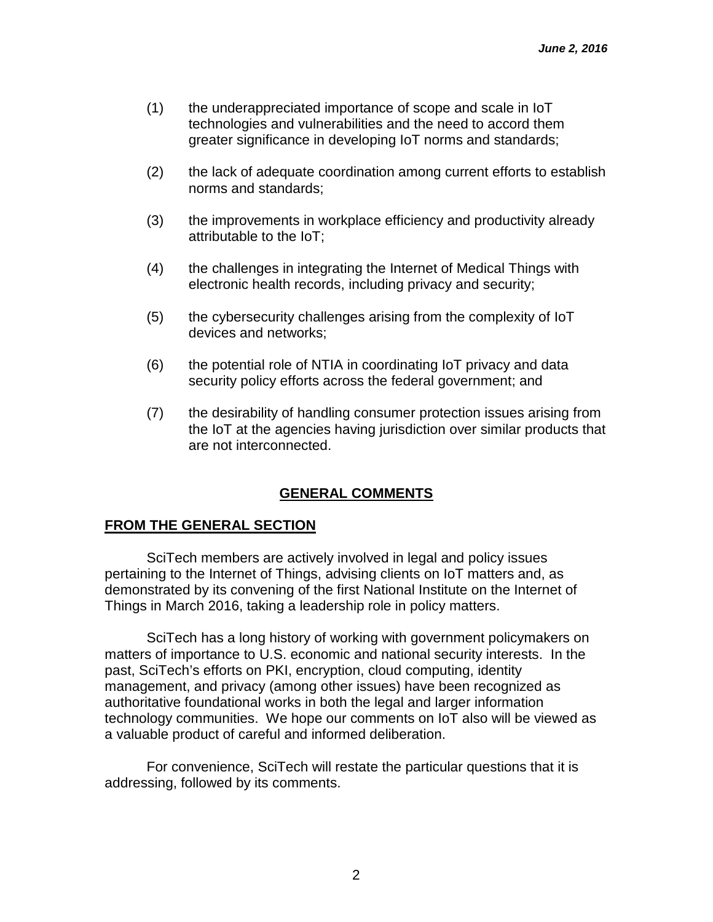- (1) the underappreciated importance of scope and scale in IoT technologies and vulnerabilities and the need to accord them greater significance in developing IoT norms and standards;
- (2) the lack of adequate coordination among current efforts to establish norms and standards;
- (3) the improvements in workplace efficiency and productivity already attributable to the IoT;
- (4) the challenges in integrating the Internet of Medical Things with electronic health records, including privacy and security;
- (5) the cybersecurity challenges arising from the complexity of IoT devices and networks;
- (6) the potential role of NTIA in coordinating IoT privacy and data security policy efforts across the federal government; and
- (7) the desirability of handling consumer protection issues arising from the IoT at the agencies having jurisdiction over similar products that are not interconnected.

# **GENERAL COMMENTS**

### **FROM THE GENERAL SECTION**

SciTech members are actively involved in legal and policy issues pertaining to the Internet of Things, advising clients on IoT matters and, as demonstrated by its convening of the first National Institute on the Internet of Things in March 2016, taking a leadership role in policy matters.

SciTech has a long history of working with government policymakers on matters of importance to U.S. economic and national security interests. In the past, SciTech's efforts on PKI, encryption, cloud computing, identity management, and privacy (among other issues) have been recognized as authoritative foundational works in both the legal and larger information technology communities. We hope our comments on IoT also will be viewed as a valuable product of careful and informed deliberation.

For convenience, SciTech will restate the particular questions that it is addressing, followed by its comments.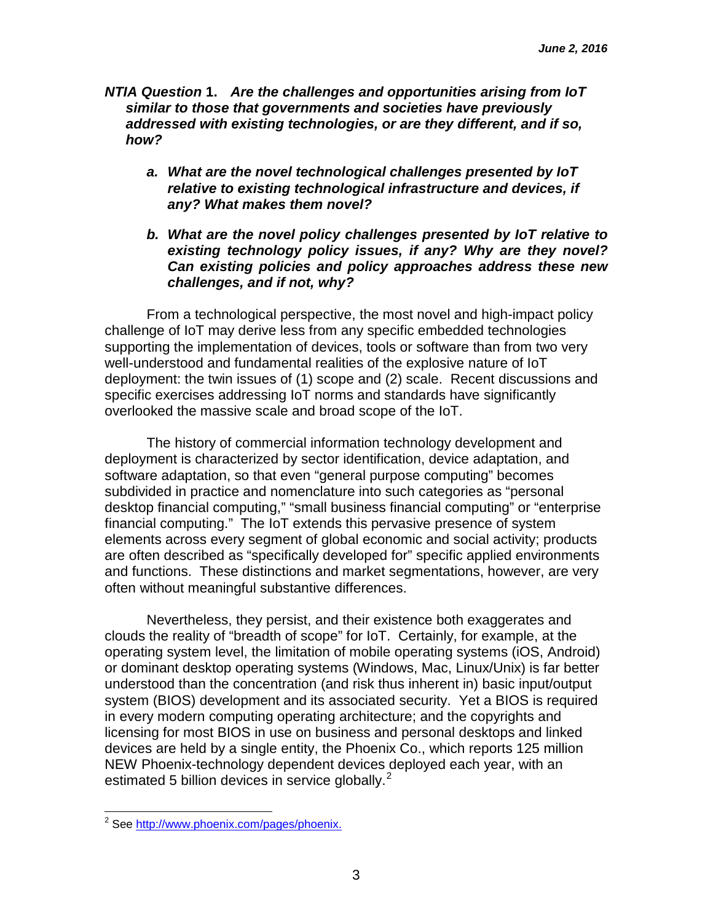- *NTIA Question* **1.** *Are the challenges and opportunities arising from IoT similar to those that governments and societies have previously addressed with existing technologies, or are they different, and if so, how?*
	- *a. What are the novel technological challenges presented by IoT relative to existing technological infrastructure and devices, if any? What makes them novel?*
	- *b. What are the novel policy challenges presented by IoT relative to existing technology policy issues, if any? Why are they novel? Can existing policies and policy approaches address these new challenges, and if not, why?*

From a technological perspective, the most novel and high-impact policy challenge of IoT may derive less from any specific embedded technologies supporting the implementation of devices, tools or software than from two very well-understood and fundamental realities of the explosive nature of IoT deployment: the twin issues of (1) scope and (2) scale. Recent discussions and specific exercises addressing IoT norms and standards have significantly overlooked the massive scale and broad scope of the IoT.

The history of commercial information technology development and deployment is characterized by sector identification, device adaptation, and software adaptation, so that even "general purpose computing" becomes subdivided in practice and nomenclature into such categories as "personal desktop financial computing," "small business financial computing" or "enterprise financial computing." The IoT extends this pervasive presence of system elements across every segment of global economic and social activity; products are often described as "specifically developed for" specific applied environments and functions. These distinctions and market segmentations, however, are very often without meaningful substantive differences.

Nevertheless, they persist, and their existence both exaggerates and clouds the reality of "breadth of scope" for IoT. Certainly, for example, at the operating system level, the limitation of mobile operating systems (iOS, Android) or dominant desktop operating systems (Windows, Mac, Linux/Unix) is far better understood than the concentration (and risk thus inherent in) basic input/output system (BIOS) development and its associated security. Yet a BIOS is required in every modern computing operating architecture; and the copyrights and licensing for most BIOS in use on business and personal desktops and linked devices are held by a single entity, the Phoenix Co., which reports 125 million NEW Phoenix-technology dependent devices deployed each year, with an estimated 5 billion devices in service globally. $<sup>2</sup>$  $<sup>2</sup>$  $<sup>2</sup>$ </sup>

<span id="page-2-0"></span><sup>&</sup>lt;sup>2</sup> See [http://www.phoenix.com/pages/phoenix.](http://www.phoenix.com/pages/phoenix)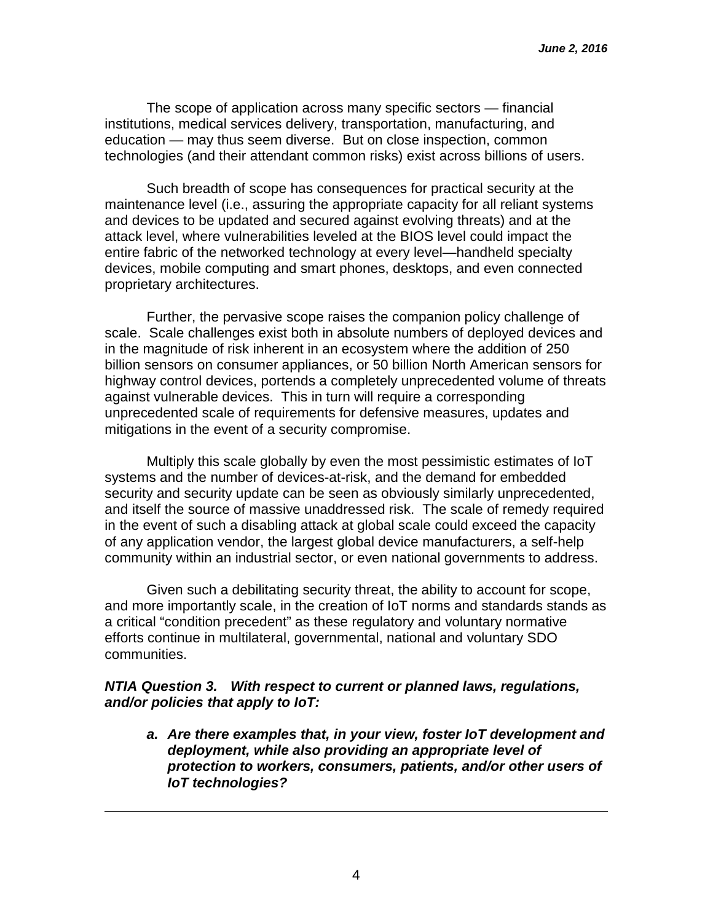The scope of application across many specific sectors — financial institutions, medical services delivery, transportation, manufacturing, and education — may thus seem diverse. But on close inspection, common technologies (and their attendant common risks) exist across billions of users.

Such breadth of scope has consequences for practical security at the maintenance level (i.e., assuring the appropriate capacity for all reliant systems and devices to be updated and secured against evolving threats) and at the attack level, where vulnerabilities leveled at the BIOS level could impact the entire fabric of the networked technology at every level—handheld specialty devices, mobile computing and smart phones, desktops, and even connected proprietary architectures.

Further, the pervasive scope raises the companion policy challenge of scale. Scale challenges exist both in absolute numbers of deployed devices and in the magnitude of risk inherent in an ecosystem where the addition of 250 billion sensors on consumer appliances, or 50 billion North American sensors for highway control devices, portends a completely unprecedented volume of threats against vulnerable devices. This in turn will require a corresponding unprecedented scale of requirements for defensive measures, updates and mitigations in the event of a security compromise.

Multiply this scale globally by even the most pessimistic estimates of IoT systems and the number of devices-at-risk, and the demand for embedded security and security update can be seen as obviously similarly unprecedented, and itself the source of massive unaddressed risk. The scale of remedy required in the event of such a disabling attack at global scale could exceed the capacity of any application vendor, the largest global device manufacturers, a self-help community within an industrial sector, or even national governments to address.

Given such a debilitating security threat, the ability to account for scope, and more importantly scale, in the creation of IoT norms and standards stands as a critical "condition precedent" as these regulatory and voluntary normative efforts continue in multilateral, governmental, national and voluntary SDO communities.

### *NTIA Question 3. With respect to current or planned laws, regulations, and/or policies that apply to IoT:*

i<br>I

*a. Are there examples that, in your view, foster IoT development and deployment, while also providing an appropriate level of protection to workers, consumers, patients, and/or other users of IoT technologies?*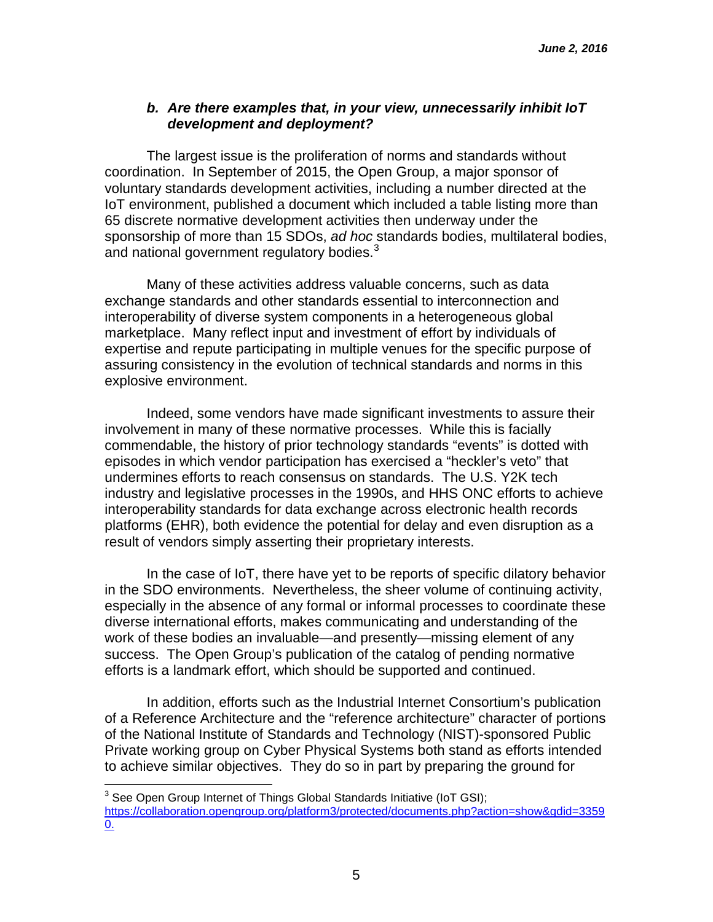## *b. Are there examples that, in your view, unnecessarily inhibit IoT development and deployment?*

The largest issue is the proliferation of norms and standards without coordination. In September of 2015, the Open Group, a major sponsor of voluntary standards development activities, including a number directed at the IoT environment, published a document which included a table listing more than 65 discrete normative development activities then underway under the sponsorship of more than 15 SDOs, *ad hoc* standards bodies, multilateral bodies, and national government regulatory bodies. $3$ 

Many of these activities address valuable concerns, such as data exchange standards and other standards essential to interconnection and interoperability of diverse system components in a heterogeneous global marketplace. Many reflect input and investment of effort by individuals of expertise and repute participating in multiple venues for the specific purpose of assuring consistency in the evolution of technical standards and norms in this explosive environment.

Indeed, some vendors have made significant investments to assure their involvement in many of these normative processes. While this is facially commendable, the history of prior technology standards "events" is dotted with episodes in which vendor participation has exercised a "heckler's veto" that undermines efforts to reach consensus on standards. The U.S. Y2K tech industry and legislative processes in the 1990s, and HHS ONC efforts to achieve interoperability standards for data exchange across electronic health records platforms (EHR), both evidence the potential for delay and even disruption as a result of vendors simply asserting their proprietary interests.

In the case of IoT, there have yet to be reports of specific dilatory behavior in the SDO environments. Nevertheless, the sheer volume of continuing activity, especially in the absence of any formal or informal processes to coordinate these diverse international efforts, makes communicating and understanding of the work of these bodies an invaluable—and presently—missing element of any success. The Open Group's publication of the catalog of pending normative efforts is a landmark effort, which should be supported and continued.

In addition, efforts such as the Industrial Internet Consortium's publication of a Reference Architecture and the "reference architecture" character of portions of the National Institute of Standards and Technology (NIST)-sponsored Public Private working group on Cyber Physical Systems both stand as efforts intended to achieve similar objectives. They do so in part by preparing the ground for

<span id="page-4-0"></span> $3$  See Open Group Internet of Things Global Standards Initiative (IoT GSI); [https://collaboration.opengroup.org/platform3/protected/documents.php?action=show&gdid=3359](https://collaboration.opengroup.org/platform3/protected/documents.php?action=show&gdid=33590) [0.](https://collaboration.opengroup.org/platform3/protected/documents.php?action=show&gdid=33590)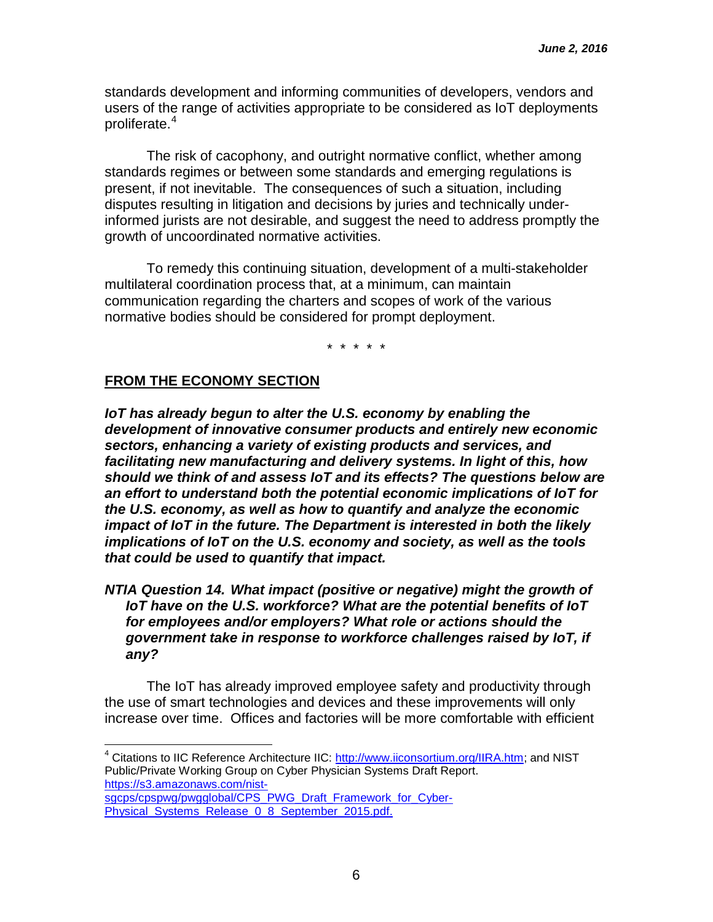standards development and informing communities of developers, vendors and users of the range of activities appropriate to be considered as IoT deployments proliferate.<sup>[4](#page-5-0)</sup>

The risk of cacophony, and outright normative conflict, whether among standards regimes or between some standards and emerging regulations is present, if not inevitable. The consequences of such a situation, including disputes resulting in litigation and decisions by juries and technically underinformed jurists are not desirable, and suggest the need to address promptly the growth of uncoordinated normative activities.

To remedy this continuing situation, development of a multi-stakeholder multilateral coordination process that, at a minimum, can maintain communication regarding the charters and scopes of work of the various normative bodies should be considered for prompt deployment.

\* \* \* \* \*

#### **FROM THE ECONOMY SECTION**

*IoT has already begun to alter the U.S. economy by enabling the development of innovative consumer products and entirely new economic sectors, enhancing a variety of existing products and services, and facilitating new manufacturing and delivery systems. In light of this, how should we think of and assess IoT and its effects? The questions below are an effort to understand both the potential economic implications of IoT for the U.S. economy, as well as how to quantify and analyze the economic impact of IoT in the future. The Department is interested in both the likely implications of IoT on the U.S. economy and society, as well as the tools that could be used to quantify that impact.*

*NTIA Question 14. What impact (positive or negative) might the growth of IoT have on the U.S. workforce? What are the potential benefits of IoT for employees and/or employers? What role or actions should the government take in response to workforce challenges raised by IoT, if any?*

The IoT has already improved employee safety and productivity through the use of smart technologies and devices and these improvements will only increase over time. Offices and factories will be more comfortable with efficient

<span id="page-5-0"></span><sup>&</sup>lt;sup>4</sup> Citations to IIC Reference Architecture IIC: [http://www.iiconsortium.org/IIRA.htm;](http://www.iiconsortium.org/IIRA.htm) and NIST Public/Private Working Group on Cyber Physician Systems Draft Report. [https://s3.amazonaws.com/nist](https://s3.amazonaws.com/nist-sgcps/cpspwg/pwgglobal/CPS_PWG_Draft_Framework_for_Cyber-Physical_Systems_Release_0_8_September_2015.pdf)[sgcps/cpspwg/pwgglobal/CPS\\_PWG\\_Draft\\_Framework\\_for\\_Cyber-](https://s3.amazonaws.com/nist-sgcps/cpspwg/pwgglobal/CPS_PWG_Draft_Framework_for_Cyber-Physical_Systems_Release_0_8_September_2015.pdf)

[Physical\\_Systems\\_Release\\_0\\_8\\_September\\_2015.pdf.](https://s3.amazonaws.com/nist-sgcps/cpspwg/pwgglobal/CPS_PWG_Draft_Framework_for_Cyber-Physical_Systems_Release_0_8_September_2015.pdf)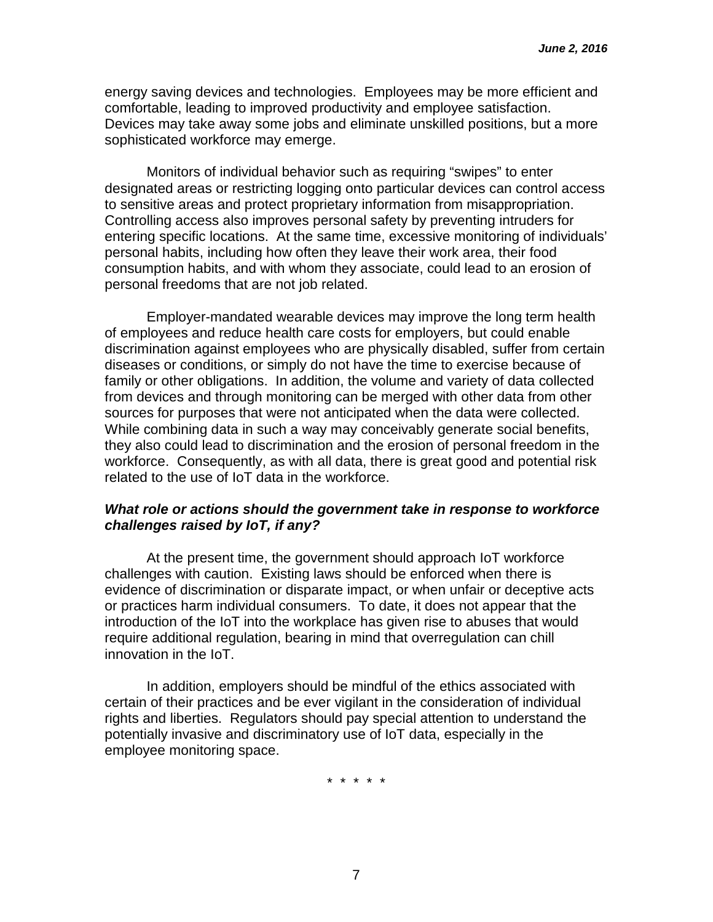energy saving devices and technologies. Employees may be more efficient and comfortable, leading to improved productivity and employee satisfaction. Devices may take away some jobs and eliminate unskilled positions, but a more sophisticated workforce may emerge.

Monitors of individual behavior such as requiring "swipes" to enter designated areas or restricting logging onto particular devices can control access to sensitive areas and protect proprietary information from misappropriation. Controlling access also improves personal safety by preventing intruders for entering specific locations. At the same time, excessive monitoring of individuals' personal habits, including how often they leave their work area, their food consumption habits, and with whom they associate, could lead to an erosion of personal freedoms that are not job related.

Employer-mandated wearable devices may improve the long term health of employees and reduce health care costs for employers, but could enable discrimination against employees who are physically disabled, suffer from certain diseases or conditions, or simply do not have the time to exercise because of family or other obligations. In addition, the volume and variety of data collected from devices and through monitoring can be merged with other data from other sources for purposes that were not anticipated when the data were collected. While combining data in such a way may conceivably generate social benefits, they also could lead to discrimination and the erosion of personal freedom in the workforce. Consequently, as with all data, there is great good and potential risk related to the use of IoT data in the workforce.

### *What role or actions should the government take in response to workforce challenges raised by IoT, if any?*

At the present time, the government should approach IoT workforce challenges with caution. Existing laws should be enforced when there is evidence of discrimination or disparate impact, or when unfair or deceptive acts or practices harm individual consumers. To date, it does not appear that the introduction of the IoT into the workplace has given rise to abuses that would require additional regulation, bearing in mind that overregulation can chill innovation in the IoT.

In addition, employers should be mindful of the ethics associated with certain of their practices and be ever vigilant in the consideration of individual rights and liberties. Regulators should pay special attention to understand the potentially invasive and discriminatory use of IoT data, especially in the employee monitoring space.

\* \* \* \* \*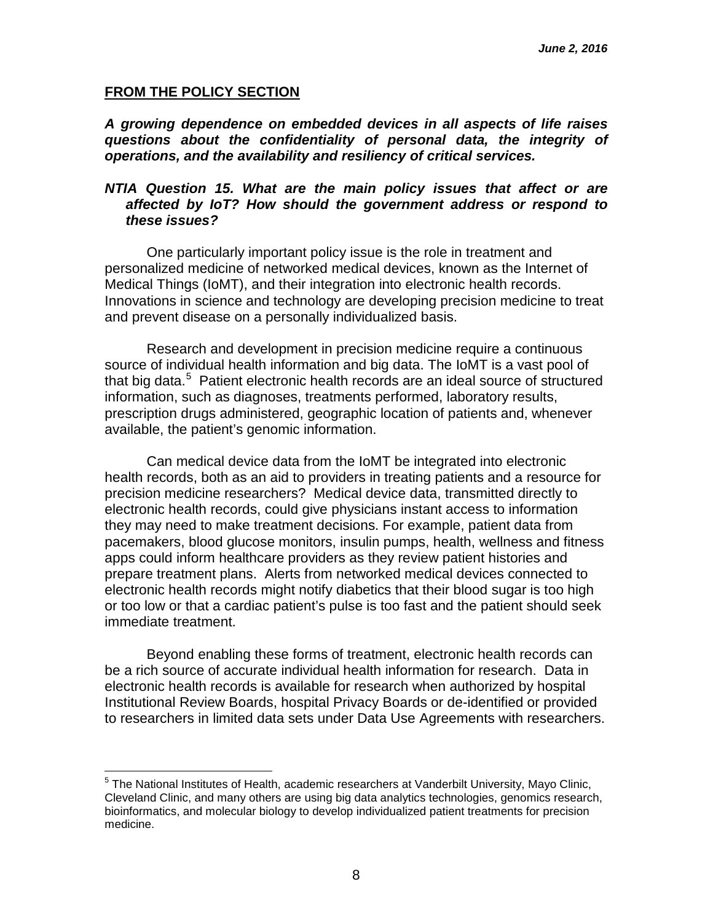#### **FROM THE POLICY SECTION**

*A growing dependence on embedded devices in all aspects of life raises questions about the confidentiality of personal data, the integrity of operations, and the availability and resiliency of critical services.*

#### *NTIA Question 15. What are the main policy issues that affect or are affected by IoT? How should the government address or respond to these issues?*

One particularly important policy issue is the role in treatment and personalized medicine of networked medical devices, known as the Internet of Medical Things (IoMT), and their integration into electronic health records. Innovations in science and technology are developing precision medicine to treat and prevent disease on a personally individualized basis.

Research and development in precision medicine require a continuous source of individual health information and big data. The IoMT is a vast pool of that big data. [5](#page-7-0) Patient electronic health records are an ideal source of structured information, such as diagnoses, treatments performed, laboratory results, prescription drugs administered, geographic location of patients and, whenever available, the patient's genomic information.

Can medical device data from the IoMT be integrated into electronic health records, both as an aid to providers in treating patients and a resource for precision medicine researchers? Medical device data, transmitted directly to electronic health records, could give physicians instant access to information they may need to make treatment decisions. For example, patient data from pacemakers, blood glucose monitors, insulin pumps, health, wellness and fitness apps could inform healthcare providers as they review patient histories and prepare treatment plans. Alerts from networked medical devices connected to electronic health records might notify diabetics that their blood sugar is too high or too low or that a cardiac patient's pulse is too fast and the patient should seek immediate treatment.

Beyond enabling these forms of treatment, electronic health records can be a rich source of accurate individual health information for research. Data in electronic health records is available for research when authorized by hospital Institutional Review Boards, hospital Privacy Boards or de-identified or provided to researchers in limited data sets under Data Use Agreements with researchers.

<span id="page-7-0"></span><sup>&</sup>lt;sup>5</sup> The National Institutes of Health, academic researchers at Vanderbilt University, Mayo Clinic, Cleveland Clinic, and many others are using big data analytics technologies, genomics research, bioinformatics, and molecular biology to develop individualized patient treatments for precision medicine.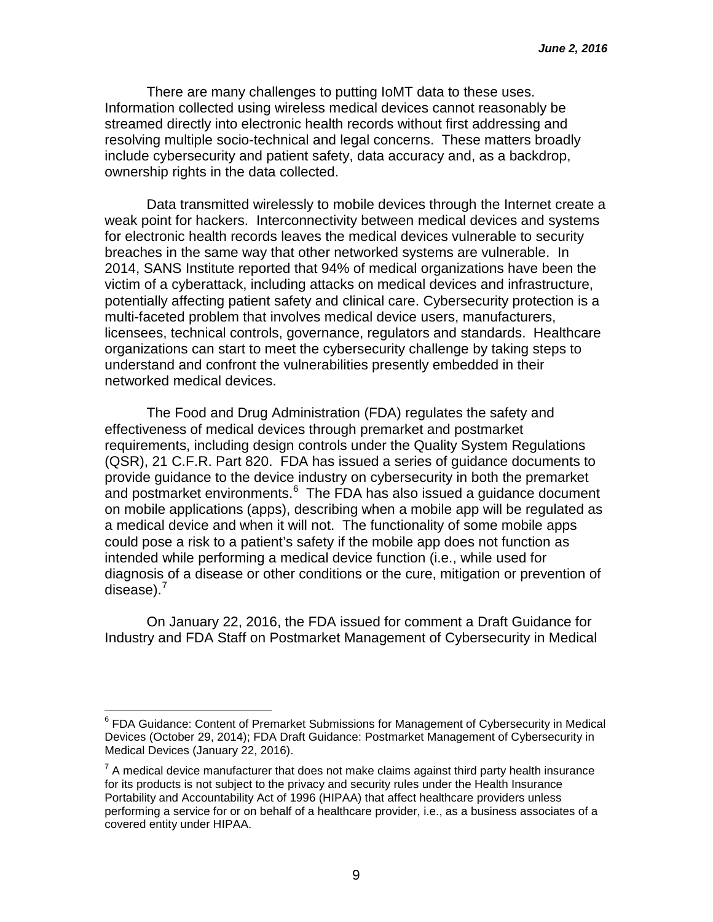There are many challenges to putting IoMT data to these uses. Information collected using wireless medical devices cannot reasonably be streamed directly into electronic health records without first addressing and resolving multiple socio-technical and legal concerns. These matters broadly include cybersecurity and patient safety, data accuracy and, as a backdrop, ownership rights in the data collected.

Data transmitted wirelessly to mobile devices through the Internet create a weak point for hackers. Interconnectivity between medical devices and systems for electronic health records leaves the medical devices vulnerable to security breaches in the same way that other networked systems are vulnerable. In 2014, SANS Institute reported that 94% of medical organizations have been the victim of a cyberattack, including attacks on medical devices and infrastructure, potentially affecting patient safety and clinical care. Cybersecurity protection is a multi-faceted problem that involves medical device users, manufacturers, licensees, technical controls, governance, regulators and standards. Healthcare organizations can start to meet the cybersecurity challenge by taking steps to understand and confront the vulnerabilities presently embedded in their networked medical devices.

The Food and Drug Administration (FDA) regulates the safety and effectiveness of medical devices through premarket and postmarket requirements, including design controls under the Quality System Regulations (QSR), 21 C.F.R. Part 820. FDA has issued a series of guidance documents to provide guidance to the device industry on cybersecurity in both the premarket and postmarket environments. [6](#page-8-0) The FDA has also issued a guidance document on mobile applications (apps), describing when a mobile app will be regulated as a medical device and when it will not. The functionality of some mobile apps could pose a risk to a patient's safety if the mobile app does not function as intended while performing a medical device function (i.e., while used for diagnosis of a disease or other conditions or the cure, mitigation or prevention of disease). $<sup>7</sup>$  $<sup>7</sup>$  $<sup>7</sup>$ </sup>

On January 22, 2016, the FDA issued for comment a Draft Guidance for Industry and FDA Staff on Postmarket Management of Cybersecurity in Medical

<span id="page-8-0"></span><sup>&</sup>lt;sup>6</sup> FDA Guidance: Content of Premarket Submissions for Management of Cybersecurity in Medical Devices (October 29, 2014); FDA Draft Guidance: Postmarket Management of Cybersecurity in Medical Devices (January 22, 2016).

<span id="page-8-1"></span> $7$  A medical device manufacturer that does not make claims against third party health insurance for its products is not subject to the privacy and security rules under the Health Insurance Portability and Accountability Act of 1996 (HIPAA) that affect healthcare providers unless performing a service for or on behalf of a healthcare provider, i.e., as a business associates of a covered entity under HIPAA.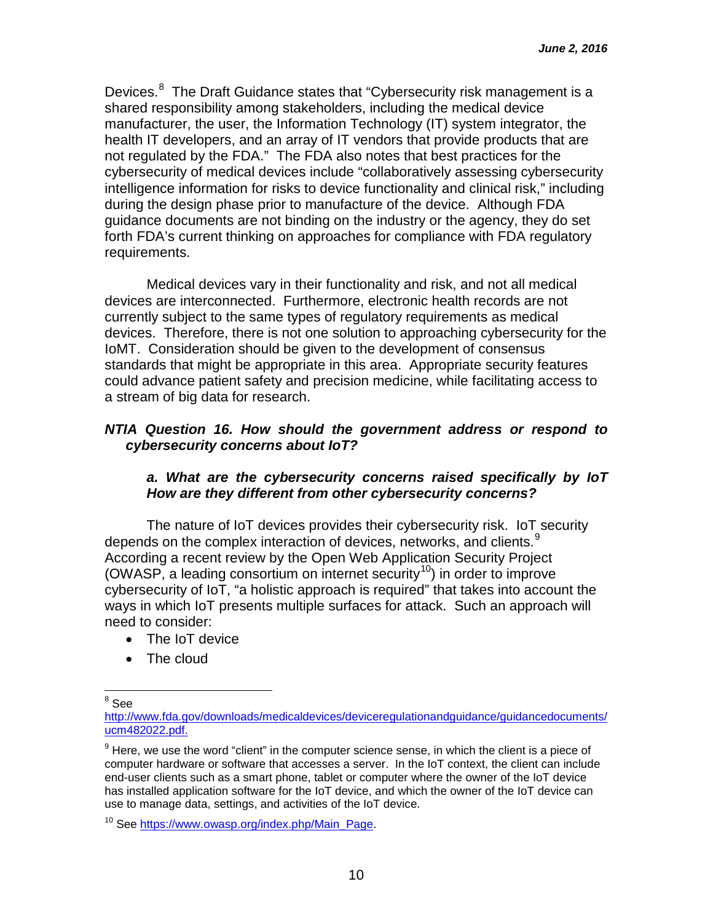Devices.<sup>[8](#page-9-0)</sup> The Draft Guidance states that "Cybersecurity risk management is a shared responsibility among stakeholders, including the medical device manufacturer, the user, the Information Technology (IT) system integrator, the health IT developers, and an array of IT vendors that provide products that are not regulated by the FDA." The FDA also notes that best practices for the cybersecurity of medical devices include "collaboratively assessing cybersecurity intelligence information for risks to device functionality and clinical risk," including during the design phase prior to manufacture of the device. Although FDA guidance documents are not binding on the industry or the agency, they do set forth FDA's current thinking on approaches for compliance with FDA regulatory requirements.

Medical devices vary in their functionality and risk, and not all medical devices are interconnected. Furthermore, electronic health records are not currently subject to the same types of regulatory requirements as medical devices. Therefore, there is not one solution to approaching cybersecurity for the IoMT. Consideration should be given to the development of consensus standards that might be appropriate in this area. Appropriate security features could advance patient safety and precision medicine, while facilitating access to a stream of big data for research.

### *NTIA Question 16. How should the government address or respond to cybersecurity concerns about IoT?*

### *a. What are the cybersecurity concerns raised specifically by IoT How are they different from other cybersecurity concerns?*

The nature of IoT devices provides their cybersecurity risk. IoT security depends on the complex interaction of devices, networks, and clients. $^9$  $^9$ According a recent review by the Open Web Application Security Project (OWASP, a leading consortium on internet security<sup>[10](#page-9-2)</sup>) in order to improve cybersecurity of IoT, "a holistic approach is required" that takes into account the ways in which IoT presents multiple surfaces for attack. Such an approach will need to consider:

- The IoT device
- The cloud

<span id="page-9-0"></span> $8 \text{ See}$ 

[http://www.fda.gov/downloads/medicaldevices/deviceregulationandguidance/guidancedocuments/](http://www.fda.gov/downloads/medicaldevices/deviceregulationandguidance/guidancedocuments/ucm482022.pdf) [ucm482022.pdf.](http://www.fda.gov/downloads/medicaldevices/deviceregulationandguidance/guidancedocuments/ucm482022.pdf)

<span id="page-9-1"></span> $9$  Here, we use the word "client" in the computer science sense, in which the client is a piece of computer hardware or software that accesses a server. In the IoT context, the client can include end-user clients such as a smart phone, tablet or computer where the owner of the IoT device has installed application software for the IoT device, and which the owner of the IoT device can use to manage data, settings, and activities of the IoT device.

<span id="page-9-2"></span><sup>&</sup>lt;sup>10</sup> See [https://www.owasp.org/index.php/Main\\_Page.](https://www.owasp.org/index.php/Main_Page)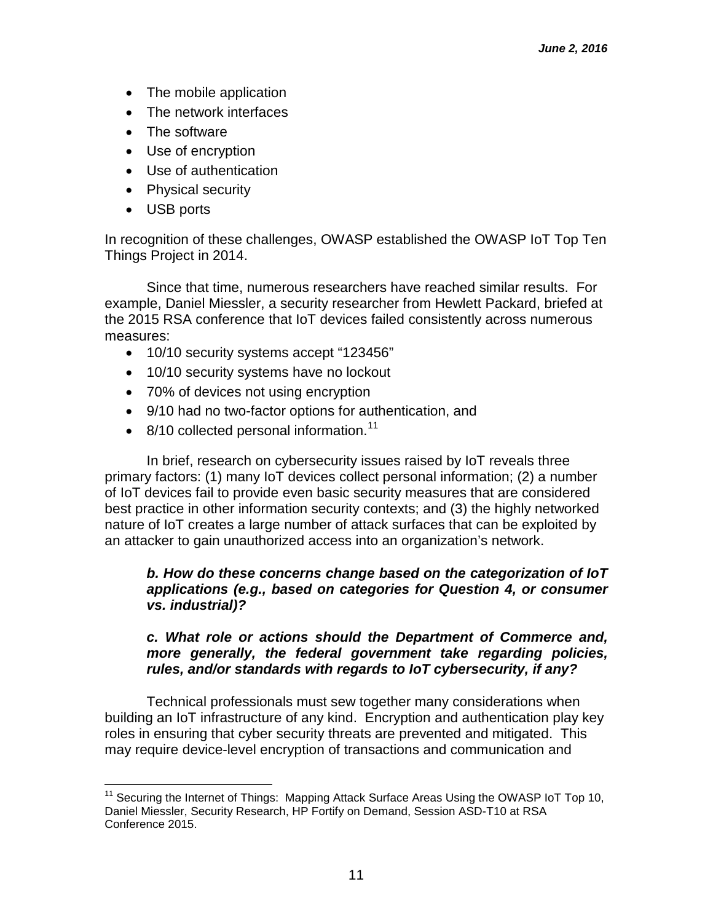- The mobile application
- The network interfaces
- The software
- Use of encryption
- Use of authentication
- Physical security
- USB ports

In recognition of these challenges, OWASP established the OWASP IoT Top Ten Things Project in 2014.

Since that time, numerous researchers have reached similar results. For example, Daniel Miessler, a security researcher from Hewlett Packard, briefed at the 2015 RSA conference that IoT devices failed consistently across numerous measures:

- 10/10 security systems accept "123456"
- 10/10 security systems have no lockout
- 70% of devices not using encryption
- 9/10 had no two-factor options for authentication, and
- $\bullet$  8/10 collected personal information.<sup>11</sup>

In brief, research on cybersecurity issues raised by IoT reveals three primary factors: (1) many IoT devices collect personal information; (2) a number of IoT devices fail to provide even basic security measures that are considered best practice in other information security contexts; and (3) the highly networked nature of IoT creates a large number of attack surfaces that can be exploited by an attacker to gain unauthorized access into an organization's network.

### *b. How do these concerns change based on the categorization of IoT applications (e.g., based on categories for Question 4, or consumer vs. industrial)?*

### *c. What role or actions should the Department of Commerce and, more generally, the federal government take regarding policies, rules, and/or standards with regards to IoT cybersecurity, if any?*

Technical professionals must sew together many considerations when building an IoT infrastructure of any kind. Encryption and authentication play key roles in ensuring that cyber security threats are prevented and mitigated. This may require device-level encryption of transactions and communication and

<span id="page-10-0"></span><sup>&</sup>lt;sup>11</sup> Securing the Internet of Things: Mapping Attack Surface Areas Using the OWASP IoT Top 10, Daniel Miessler, Security Research, HP Fortify on Demand, Session ASD-T10 at RSA Conference 2015.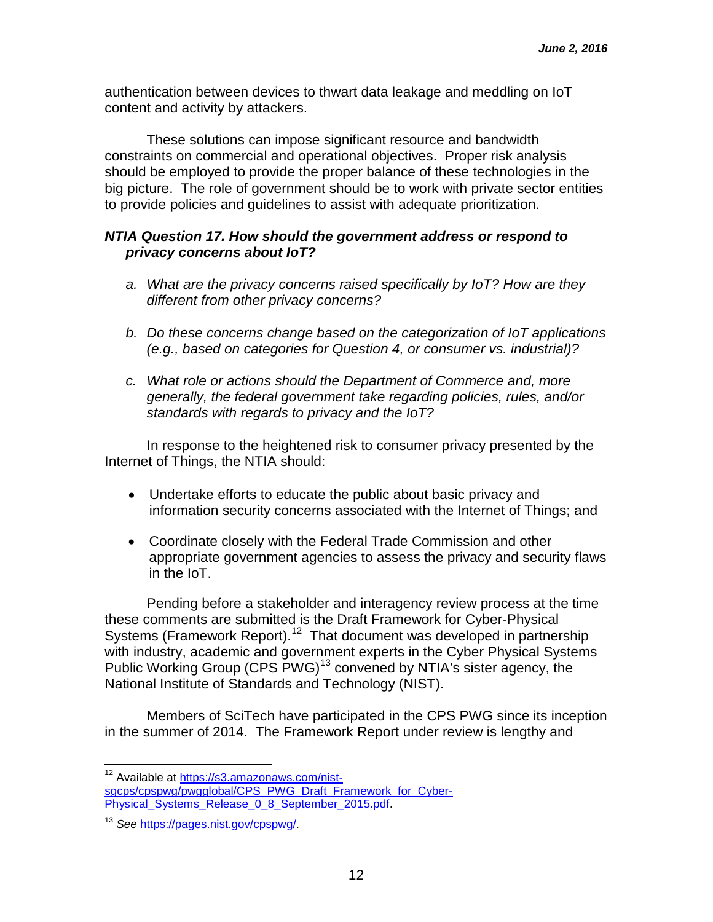authentication between devices to thwart data leakage and meddling on IoT content and activity by attackers.

These solutions can impose significant resource and bandwidth constraints on commercial and operational objectives. Proper risk analysis should be employed to provide the proper balance of these technologies in the big picture. The role of government should be to work with private sector entities to provide policies and guidelines to assist with adequate prioritization.

## *NTIA Question 17. How should the government address or respond to privacy concerns about IoT?*

- *a. What are the privacy concerns raised specifically by IoT? How are they different from other privacy concerns?*
- *b. Do these concerns change based on the categorization of IoT applications (e.g., based on categories for Question 4, or consumer vs. industrial)?*
- *c. What role or actions should the Department of Commerce and, more generally, the federal government take regarding policies, rules, and/or standards with regards to privacy and the IoT?*

In response to the heightened risk to consumer privacy presented by the Internet of Things, the NTIA should:

- Undertake efforts to educate the public about basic privacy and information security concerns associated with the Internet of Things; and
- Coordinate closely with the Federal Trade Commission and other appropriate government agencies to assess the privacy and security flaws in the IoT.

Pending before a stakeholder and interagency review process at the time these comments are submitted is the Draft Framework for Cyber-Physical Systems (Framework Report).<sup>[12](#page-11-0)</sup> That document was developed in partnership with industry, academic and government experts in the Cyber Physical Systems Public Working Group (CPS PWG)<sup>[13](#page-11-1)</sup> convened by NTIA's sister agency, the National Institute of Standards and Technology (NIST).

Members of SciTech have participated in the CPS PWG since its inception in the summer of 2014. The Framework Report under review is lengthy and

<span id="page-11-0"></span><sup>&</sup>lt;sup>12</sup> Available at [https://s3.amazonaws.com/nist](https://s3.amazonaws.com/nist-sgcps/cpspwg/pwgglobal/CPS_PWG_Draft_Framework_for_Cyber-Physical_Systems_Release_0_8_September_2015.pdf)[sgcps/cpspwg/pwgglobal/CPS\\_PWG\\_Draft\\_Framework\\_for\\_Cyber-](https://s3.amazonaws.com/nist-sgcps/cpspwg/pwgglobal/CPS_PWG_Draft_Framework_for_Cyber-Physical_Systems_Release_0_8_September_2015.pdf)[Physical\\_Systems\\_Release\\_0\\_8\\_September\\_2015.pdf.](https://s3.amazonaws.com/nist-sgcps/cpspwg/pwgglobal/CPS_PWG_Draft_Framework_for_Cyber-Physical_Systems_Release_0_8_September_2015.pdf)

<span id="page-11-1"></span><sup>13</sup> *See* [https://pages.nist.gov/cpspwg/.](https://pages.nist.gov/cpspwg/)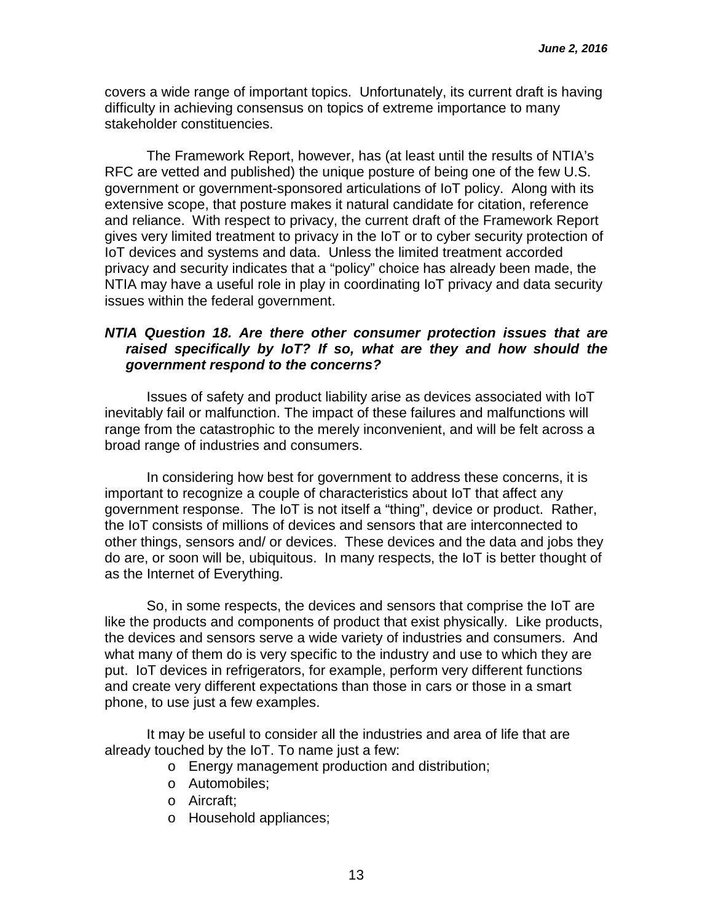covers a wide range of important topics. Unfortunately, its current draft is having difficulty in achieving consensus on topics of extreme importance to many stakeholder constituencies.

The Framework Report, however, has (at least until the results of NTIA's RFC are vetted and published) the unique posture of being one of the few U.S. government or government-sponsored articulations of IoT policy. Along with its extensive scope, that posture makes it natural candidate for citation, reference and reliance. With respect to privacy, the current draft of the Framework Report gives very limited treatment to privacy in the IoT or to cyber security protection of IoT devices and systems and data. Unless the limited treatment accorded privacy and security indicates that a "policy" choice has already been made, the NTIA may have a useful role in play in coordinating IoT privacy and data security issues within the federal government.

### *NTIA Question 18. Are there other consumer protection issues that are raised specifically by IoT? If so, what are they and how should the government respond to the concerns?*

Issues of safety and product liability arise as devices associated with IoT inevitably fail or malfunction. The impact of these failures and malfunctions will range from the catastrophic to the merely inconvenient, and will be felt across a broad range of industries and consumers.

In considering how best for government to address these concerns, it is important to recognize a couple of characteristics about IoT that affect any government response. The IoT is not itself a "thing", device or product. Rather, the IoT consists of millions of devices and sensors that are interconnected to other things, sensors and/ or devices. These devices and the data and jobs they do are, or soon will be, ubiquitous. In many respects, the IoT is better thought of as the Internet of Everything.

So, in some respects, the devices and sensors that comprise the IoT are like the products and components of product that exist physically. Like products, the devices and sensors serve a wide variety of industries and consumers. And what many of them do is very specific to the industry and use to which they are put. IoT devices in refrigerators, for example, perform very different functions and create very different expectations than those in cars or those in a smart phone, to use just a few examples.

It may be useful to consider all the industries and area of life that are already touched by the IoT. To name just a few:

- o Energy management production and distribution;
- o Automobiles;
- o Aircraft;
- o Household appliances;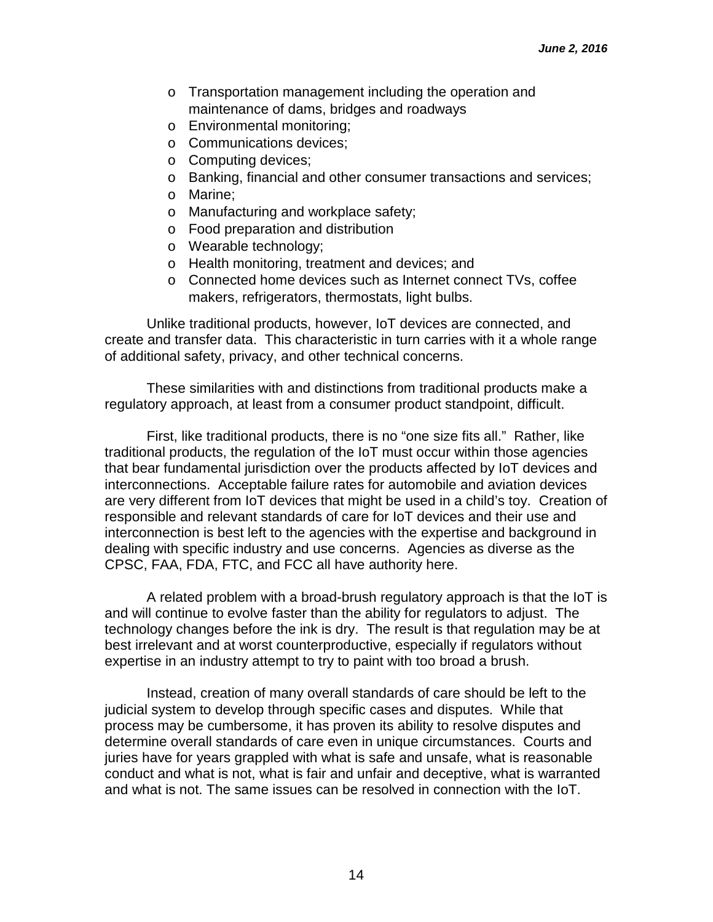- o Transportation management including the operation and maintenance of dams, bridges and roadways
- o Environmental monitoring;
- o Communications devices;
- o Computing devices;
- o Banking, financial and other consumer transactions and services;
- o Marine;
- o Manufacturing and workplace safety;
- o Food preparation and distribution
- o Wearable technology;
- o Health monitoring, treatment and devices; and
- o Connected home devices such as Internet connect TVs, coffee makers, refrigerators, thermostats, light bulbs.

Unlike traditional products, however, IoT devices are connected, and create and transfer data. This characteristic in turn carries with it a whole range of additional safety, privacy, and other technical concerns.

These similarities with and distinctions from traditional products make a regulatory approach, at least from a consumer product standpoint, difficult.

First, like traditional products, there is no "one size fits all." Rather, like traditional products, the regulation of the IoT must occur within those agencies that bear fundamental jurisdiction over the products affected by IoT devices and interconnections. Acceptable failure rates for automobile and aviation devices are very different from IoT devices that might be used in a child's toy. Creation of responsible and relevant standards of care for IoT devices and their use and interconnection is best left to the agencies with the expertise and background in dealing with specific industry and use concerns. Agencies as diverse as the CPSC, FAA, FDA, FTC, and FCC all have authority here.

A related problem with a broad-brush regulatory approach is that the IoT is and will continue to evolve faster than the ability for regulators to adjust. The technology changes before the ink is dry. The result is that regulation may be at best irrelevant and at worst counterproductive, especially if regulators without expertise in an industry attempt to try to paint with too broad a brush.

Instead, creation of many overall standards of care should be left to the judicial system to develop through specific cases and disputes. While that process may be cumbersome, it has proven its ability to resolve disputes and determine overall standards of care even in unique circumstances. Courts and juries have for years grappled with what is safe and unsafe, what is reasonable conduct and what is not, what is fair and unfair and deceptive, what is warranted and what is not. The same issues can be resolved in connection with the IoT.